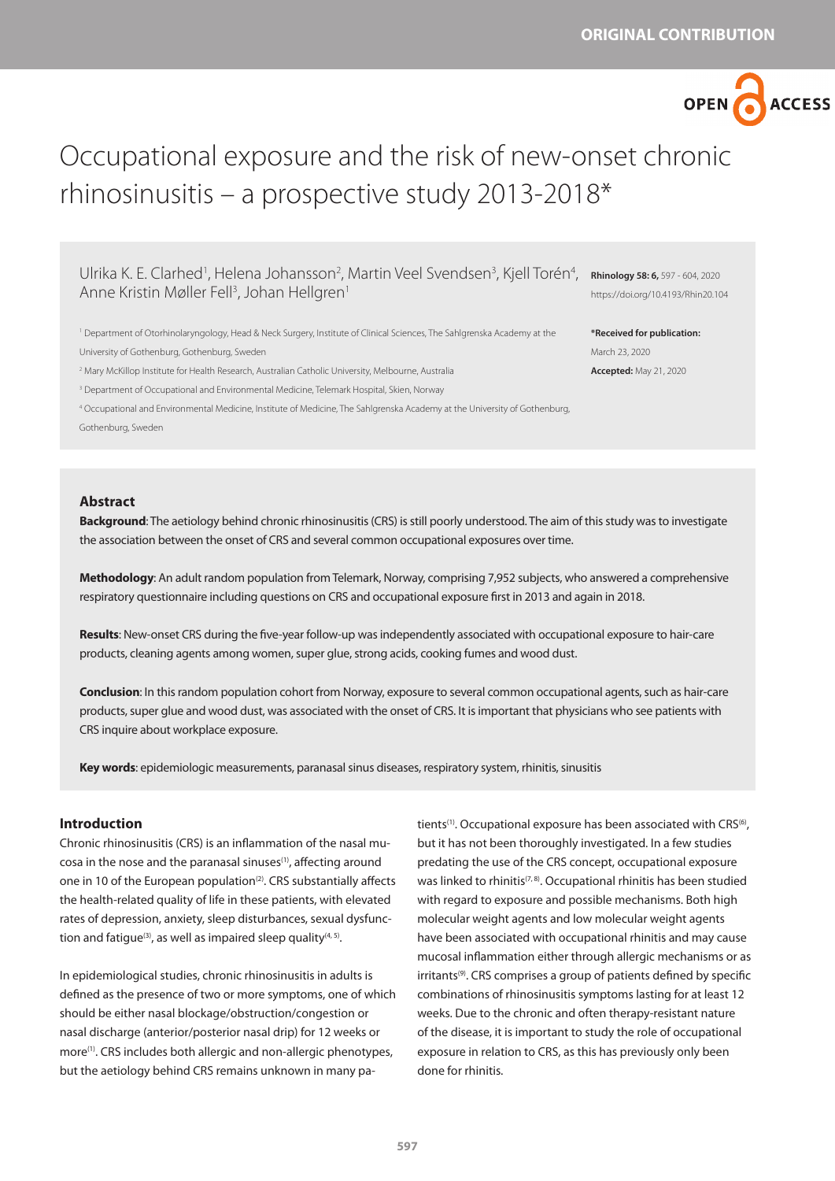OPEN G

**ACCESS** 

# Occupational exposure and the risk of new-onset chronic rhinosinusitis – a prospective study 2013-2018\*

Ulrika K. E. Clarhed<sup>1</sup>, Helena Johansson<sup>2</sup>, Martin Veel Svendsen<sup>3</sup>, Kjell Torén<sup>4</sup>, Anne Kristin Møller Fell<sup>3</sup>, Johan Hellgren<sup>1</sup>

1 Department of Otorhinolaryngology, Head & Neck Surgery, Institute of Clinical Sciences, The Sahlgrenska Academy at the University of Gothenburg, Gothenburg, Sweden

2 Mary McKillop Institute for Health Research, Australian Catholic University, Melbourne, Australia

3 Department of Occupational and Environmental Medicine, Telemark Hospital, Skien, Norway

4 Occupational and Environmental Medicine, Institute of Medicine, The Sahlgrenska Academy at the University of Gothenburg,

Gothenburg, Sweden

## **Abstract**

**Background**: The aetiology behind chronic rhinosinusitis (CRS) is still poorly understood. The aim of this study was to investigate the association between the onset of CRS and several common occupational exposures over time.

**Methodology**: An adult random population from Telemark, Norway, comprising 7,952 subjects, who answered a comprehensive respiratory questionnaire including questions on CRS and occupational exposure first in 2013 and again in 2018.

**Results**: New-onset CRS during the five-year follow-up was independently associated with occupational exposure to hair-care products, cleaning agents among women, super glue, strong acids, cooking fumes and wood dust.

**Conclusion**: In this random population cohort from Norway, exposure to several common occupational agents, such as hair-care products, super glue and wood dust, was associated with the onset of CRS. It is important that physicians who see patients with CRS inquire about workplace exposure.

**Key words**: epidemiologic measurements, paranasal sinus diseases, respiratory system, rhinitis, sinusitis

## **Introduction**

Chronic rhinosinusitis (CRS) is an inflammation of the nasal mucosa in the nose and the paranasal sinuses<sup>(1)</sup>, affecting around one in 10 of the European population<sup>(2)</sup>. CRS substantially affects the health-related quality of life in these patients, with elevated rates of depression, anxiety, sleep disturbances, sexual dysfunction and fatigue<sup>(3)</sup>, as well as impaired sleep quality<sup>(4, 5)</sup>.

In epidemiological studies, chronic rhinosinusitis in adults is defined as the presence of two or more symptoms, one of which should be either nasal blockage/obstruction/congestion or nasal discharge (anterior/posterior nasal drip) for 12 weeks or more<sup>(1)</sup>. CRS includes both allergic and non-allergic phenotypes, but the aetiology behind CRS remains unknown in many patients<sup>(1)</sup>. Occupational exposure has been associated with CRS<sup>(6)</sup>, but it has not been thoroughly investigated. In a few studies predating the use of the CRS concept, occupational exposure was linked to rhinitis<sup>(7, 8)</sup>. Occupational rhinitis has been studied with regard to exposure and possible mechanisms. Both high molecular weight agents and low molecular weight agents have been associated with occupational rhinitis and may cause mucosal inflammation either through allergic mechanisms or as irritants<sup>(9)</sup>. CRS comprises a group of patients defined by specific combinations of rhinosinusitis symptoms lasting for at least 12 weeks. Due to the chronic and often therapy-resistant nature of the disease, it is important to study the role of occupational exposure in relation to CRS, as this has previously only been done for rhinitis.

**Rhinology 58: 6,** 597 - 604, 2020 https://doi.org/10.4193/Rhin20.104

**\*Received for publication:** March 23, 2020 **Accepted:** May 21, 2020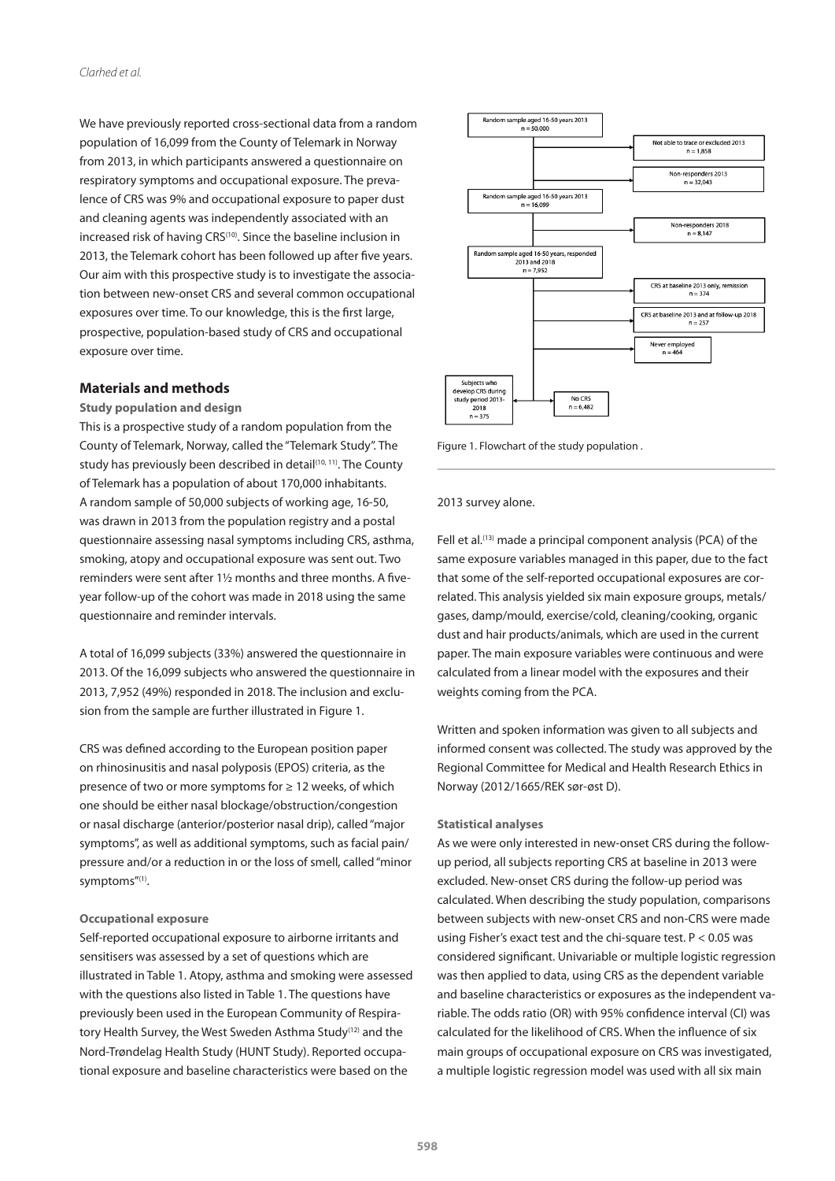We have previously reported cross-sectional data from a random population of 16,099 from the County of Telemark in Norway from 2013, in which participants answered a questionnaire on respiratory symptoms and occupational exposure. The prevalence of CRS was 9% and occupational exposure to paper dust and cleaning agents was independently associated with an increased risk of having CRS<sup>(10)</sup>. Since the baseline inclusion in 2013, the Telemark cohort has been followed up after five years. Our aim with this prospective study is to investigate the association between new-onset CRS and several common occupational exposures over time. To our knowledge, this is the first large, prospective, population-based study of CRS and occupational exposure over time.

#### **Materials and methods**

**Study population and design**

This is a prospective study of a random population from the County of Telemark, Norway, called the "Telemark Study". The study has previously been described in detail(10, 11). The County of Telemark has a population of about 170,000 inhabitants. A random sample of 50,000 subjects of working age, 16-50, was drawn in 2013 from the population registry and a postal questionnaire assessing nasal symptoms including CRS, asthma, smoking, atopy and occupational exposure was sent out. Two reminders were sent after 1½ months and three months. A fiveyear follow-up of the cohort was made in 2018 using the same questionnaire and reminder intervals.

A total of 16,099 subjects (33%) answered the questionnaire in 2013. Of the 16,099 subjects who answered the questionnaire in 2013, 7,952 (49%) responded in 2018. The inclusion and exclusion from the sample are further illustrated in Figure 1.

CRS was defined according to the European position paper on rhinosinusitis and nasal polyposis (EPOS) criteria, as the presence of two or more symptoms for ≥ 12 weeks, of which one should be either nasal blockage/obstruction/congestion or nasal discharge (anterior/posterior nasal drip), called "major symptoms", as well as additional symptoms, such as facial pain/ pressure and/or a reduction in or the loss of smell, called "minor symptoms"(1).

#### **Occupational exposure**

Self-reported occupational exposure to airborne irritants and sensitisers was assessed by a set of questions which are illustrated in Table 1. Atopy, asthma and smoking were assessed with the questions also listed in Table 1. The questions have previously been used in the European Community of Respiratory Health Survey, the West Sweden Asthma Study<sup>(12)</sup> and the Nord-Trøndelag Health Study (HUNT Study). Reported occupational exposure and baseline characteristics were based on the



Figure 1. Flowchart of the study population .

#### 2013 survey alone.

Fell et al.<sup>(13)</sup> made a principal component analysis (PCA) of the same exposure variables managed in this paper, due to the fact that some of the self-reported occupational exposures are correlated. This analysis yielded six main exposure groups, metals/ gases, damp/mould, exercise/cold, cleaning/cooking, organic dust and hair products/animals, which are used in the current paper. The main exposure variables were continuous and were calculated from a linear model with the exposures and their weights coming from the PCA.

Written and spoken information was given to all subjects and informed consent was collected. The study was approved by the Regional Committee for Medical and Health Research Ethics in Norway (2012/1665/REK sør-øst D).

### **Statistical analyses**

As we were only interested in new-onset CRS during the followup period, all subjects reporting CRS at baseline in 2013 were excluded. New-onset CRS during the follow-up period was calculated. When describing the study population, comparisons between subjects with new-onset CRS and non-CRS were made using Fisher's exact test and the chi-square test. P < 0.05 was considered significant. Univariable or multiple logistic regression was then applied to data, using CRS as the dependent variable and baseline characteristics or exposures as the independent variable. The odds ratio (OR) with 95% confidence interval (CI) was calculated for the likelihood of CRS. When the influence of six main groups of occupational exposure on CRS was investigated, a multiple logistic regression model was used with all six main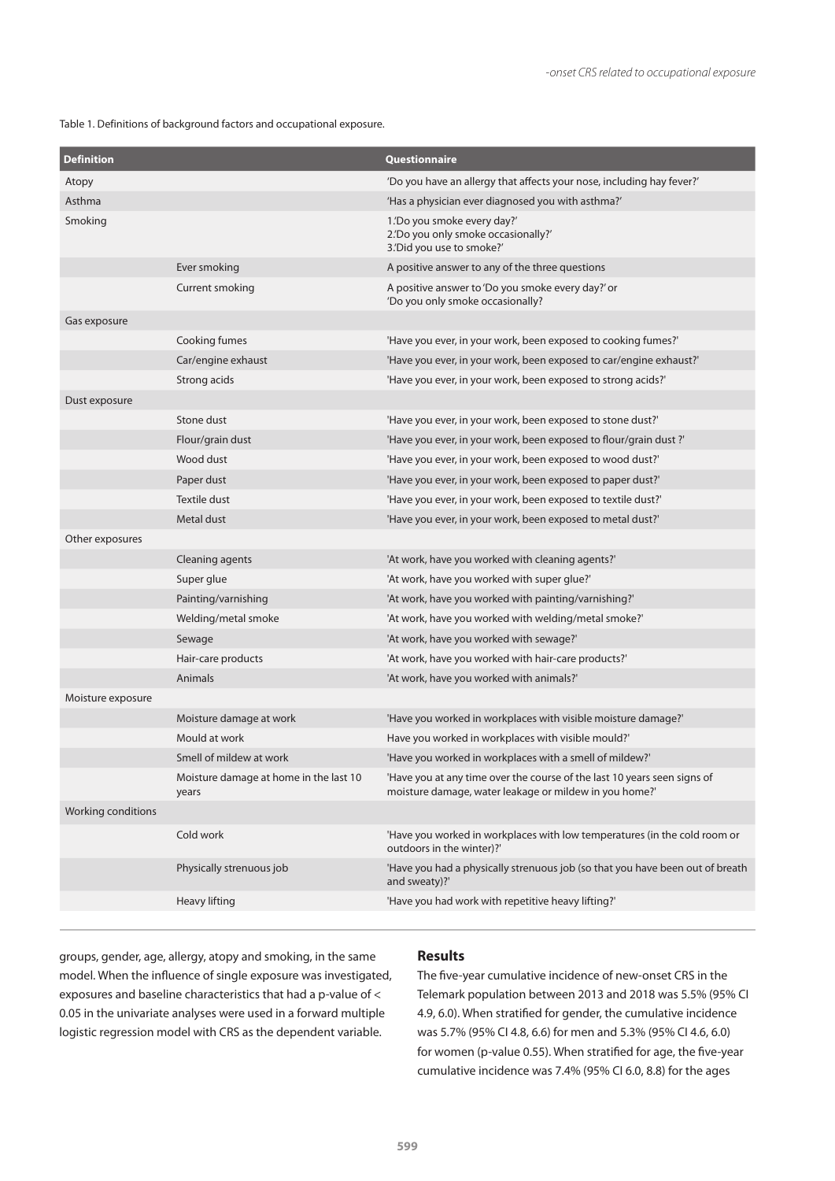Table 1. Definitions of background factors and occupational exposure.

| <b>Definition</b>  |                                                 | Questionnaire                                                                                                                      |
|--------------------|-------------------------------------------------|------------------------------------------------------------------------------------------------------------------------------------|
| Atopy              |                                                 | 'Do you have an allergy that affects your nose, including hay fever?'                                                              |
| Asthma             |                                                 | 'Has a physician ever diagnosed you with asthma?'                                                                                  |
| Smoking            |                                                 | 1.'Do you smoke every day?'<br>2. Do you only smoke occasionally?'<br>3.'Did you use to smoke?'                                    |
|                    | Ever smoking                                    | A positive answer to any of the three questions                                                                                    |
|                    | Current smoking                                 | A positive answer to 'Do you smoke every day?' or<br>'Do you only smoke occasionally?                                              |
| Gas exposure       |                                                 |                                                                                                                                    |
|                    | Cooking fumes                                   | 'Have you ever, in your work, been exposed to cooking fumes?'                                                                      |
|                    | Car/engine exhaust                              | 'Have you ever, in your work, been exposed to car/engine exhaust?'                                                                 |
|                    | Strong acids                                    | 'Have you ever, in your work, been exposed to strong acids?'                                                                       |
| Dust exposure      |                                                 |                                                                                                                                    |
|                    | Stone dust                                      | 'Have you ever, in your work, been exposed to stone dust?'                                                                         |
|                    | Flour/grain dust                                | 'Have you ever, in your work, been exposed to flour/grain dust?'                                                                   |
|                    | Wood dust                                       | 'Have you ever, in your work, been exposed to wood dust?'                                                                          |
|                    | Paper dust                                      | 'Have you ever, in your work, been exposed to paper dust?'                                                                         |
|                    | <b>Textile dust</b>                             | 'Have you ever, in your work, been exposed to textile dust?'                                                                       |
|                    | Metal dust                                      | 'Have you ever, in your work, been exposed to metal dust?'                                                                         |
| Other exposures    |                                                 |                                                                                                                                    |
|                    | Cleaning agents                                 | 'At work, have you worked with cleaning agents?'                                                                                   |
|                    | Super glue                                      | 'At work, have you worked with super glue?'                                                                                        |
|                    | Painting/varnishing                             | 'At work, have you worked with painting/varnishing?'                                                                               |
|                    | Welding/metal smoke                             | 'At work, have you worked with welding/metal smoke?'                                                                               |
|                    | Sewage                                          | 'At work, have you worked with sewage?'                                                                                            |
|                    | Hair-care products                              | 'At work, have you worked with hair-care products?'                                                                                |
|                    | Animals                                         | 'At work, have you worked with animals?'                                                                                           |
| Moisture exposure  |                                                 |                                                                                                                                    |
|                    | Moisture damage at work                         | 'Have you worked in workplaces with visible moisture damage?'                                                                      |
|                    | Mould at work                                   | Have you worked in workplaces with visible mould?'                                                                                 |
|                    | Smell of mildew at work                         | 'Have you worked in workplaces with a smell of mildew?'                                                                            |
|                    | Moisture damage at home in the last 10<br>years | 'Have you at any time over the course of the last 10 years seen signs of<br>moisture damage, water leakage or mildew in you home?' |
| Working conditions |                                                 |                                                                                                                                    |
|                    | Cold work                                       | 'Have you worked in workplaces with low temperatures (in the cold room or<br>outdoors in the winter)?'                             |
|                    | Physically strenuous job                        | 'Have you had a physically strenuous job (so that you have been out of breath<br>and sweaty)?'                                     |
|                    | Heavy lifting                                   | 'Have you had work with repetitive heavy lifting?'                                                                                 |
|                    |                                                 |                                                                                                                                    |

groups, gender, age, allergy, atopy and smoking, in the same model. When the influence of single exposure was investigated, exposures and baseline characteristics that had a p-value of < 0.05 in the univariate analyses were used in a forward multiple logistic regression model with CRS as the dependent variable.

## **Results**

The five-year cumulative incidence of new-onset CRS in the Telemark population between 2013 and 2018 was 5.5% (95% CI 4.9, 6.0). When stratified for gender, the cumulative incidence was 5.7% (95% CI 4.8, 6.6) for men and 5.3% (95% CI 4.6, 6.0) for women (p-value 0.55). When stratified for age, the five-year cumulative incidence was 7.4% (95% CI 6.0, 8.8) for the ages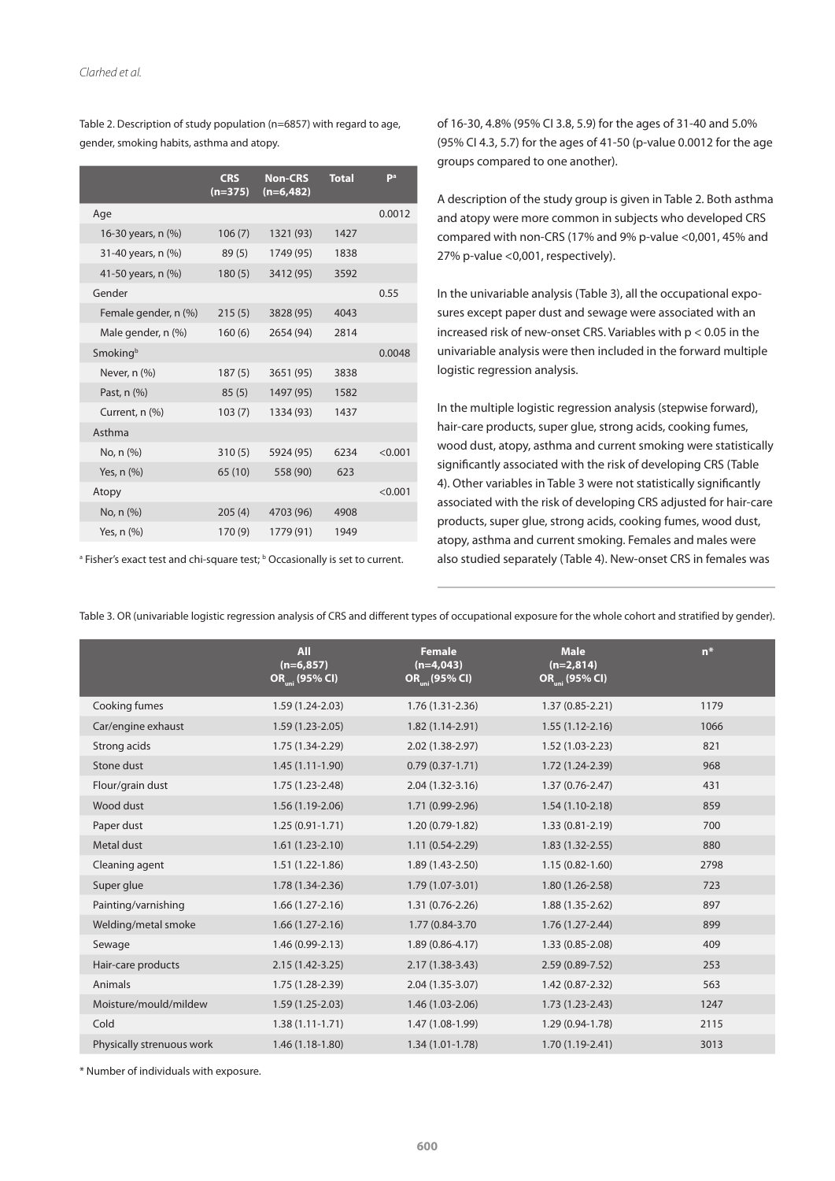Table 2. Description of study population (n=6857) with regard to age, gender, smoking habits, asthma and atopy.

|                      | <b>CRS</b><br>$(n=375)$ | <b>Non-CRS</b><br>$(n=6,482)$ | <b>Total</b> | Pa      |
|----------------------|-------------------------|-------------------------------|--------------|---------|
| Age                  |                         |                               |              | 0.0012  |
| 16-30 years, n (%)   | 106(7)                  | 1321 (93)                     | 1427         |         |
| 31-40 years, n (%)   | 89(5)                   | 1749 (95)                     | 1838         |         |
| 41-50 years, n (%)   | 180(5)                  | 3412 (95)                     | 3592         |         |
| Gender               |                         |                               |              | 0.55    |
| Female gender, n (%) | 215(5)                  | 3828 (95)                     | 4043         |         |
| Male gender, n (%)   | 160(6)                  | 2654 (94)                     | 2814         |         |
| Smokingb             |                         |                               |              | 0.0048  |
| Never, n (%)         | 187(5)                  | 3651 (95)                     | 3838         |         |
| Past, n (%)          | 85(5)                   | 1497 (95)                     | 1582         |         |
| Current, n (%)       | 103(7)                  | 1334 (93)                     | 1437         |         |
| Asthma               |                         |                               |              |         |
| No, n (%)            | 310(5)                  | 5924 (95)                     | 6234         | < 0.001 |
| Yes, n (%)           | 65 (10)                 | 558 (90)                      | 623          |         |
| Atopy                |                         |                               |              | < 0.001 |
| No, n (%)            | 205(4)                  | 4703 (96)                     | 4908         |         |
| Yes, n (%)           | 170 (9)                 | 1779 (91)                     | 1949         |         |

<sup>a</sup> Fisher's exact test and chi-square test; <sup>b</sup> Occasionally is set to current.

of 16-30, 4.8% (95% CI 3.8, 5.9) for the ages of 31-40 and 5.0% (95% CI 4.3, 5.7) for the ages of 41-50 (p-value 0.0012 for the age groups compared to one another).

A description of the study group is given in Table 2. Both asthma and atopy were more common in subjects who developed CRS compared with non-CRS (17% and 9% p-value <0,001, 45% and 27% p-value <0,001, respectively).

In the univariable analysis (Table 3), all the occupational exposures except paper dust and sewage were associated with an increased risk of new-onset CRS. Variables with p < 0.05 in the univariable analysis were then included in the forward multiple logistic regression analysis.

In the multiple logistic regression analysis (stepwise forward), hair-care products, super glue, strong acids, cooking fumes, wood dust, atopy, asthma and current smoking were statistically significantly associated with the risk of developing CRS (Table 4). Other variables in Table 3 were not statistically significantly associated with the risk of developing CRS adjusted for hair-care products, super glue, strong acids, cooking fumes, wood dust, atopy, asthma and current smoking. Females and males were also studied separately (Table 4). New-onset CRS in females was

Table 3. OR (univariable logistic regression analysis of CRS and different types of occupational exposure for the whole cohort and stratified by gender).

|                           | <b>All</b><br>$(n=6,857)$<br>OR <sub>mi</sub> (95% CI) | <b>Female</b><br>$(n=4,043)$<br>OR <sub>ini</sub> (95% CI) | <b>Male</b><br>$(n=2,814)$<br>OR <sub>mi</sub> (95% CI) | $n*$ |
|---------------------------|--------------------------------------------------------|------------------------------------------------------------|---------------------------------------------------------|------|
| Cooking fumes             | $1.59(1.24-2.03)$                                      | $1.76(1.31 - 2.36)$                                        | $1.37(0.85 - 2.21)$                                     | 1179 |
| Car/engine exhaust        | $1.59(1.23 - 2.05)$                                    | $1.82(1.14-2.91)$                                          | $1.55(1.12-2.16)$                                       | 1066 |
| Strong acids              | $1.75(1.34-2.29)$                                      | 2.02 (1.38-2.97)                                           | $1.52(1.03 - 2.23)$                                     | 821  |
| Stone dust                | $1.45(1.11-1.90)$                                      | $0.79(0.37-1.71)$                                          | $1.72(1.24-2.39)$                                       | 968  |
| Flour/grain dust          | $1.75(1.23 - 2.48)$                                    | $2.04(1.32 - 3.16)$                                        | $1.37(0.76 - 2.47)$                                     | 431  |
| Wood dust                 | $1.56(1.19-2.06)$                                      | $1.71(0.99-2.96)$                                          | $1.54(1.10-2.18)$                                       | 859  |
| Paper dust                | $1.25(0.91-1.71)$                                      | $1.20(0.79-1.82)$                                          | $1.33(0.81 - 2.19)$                                     | 700  |
| Metal dust                | $1.61(1.23-2.10)$                                      | $1.11(0.54-2.29)$                                          | $1.83(1.32 - 2.55)$                                     | 880  |
| Cleaning agent            | $1.51(1.22-1.86)$                                      | $1.89(1.43 - 2.50)$                                        | $1.15(0.82 - 1.60)$                                     | 2798 |
| Super glue                | $1.78(1.34-2.36)$                                      | $1.79(1.07 - 3.01)$                                        | $1.80(1.26 - 2.58)$                                     | 723  |
| Painting/varnishing       | $1.66(1.27-2.16)$                                      | $1.31(0.76 - 2.26)$                                        | $1.88(1.35-2.62)$                                       | 897  |
| Welding/metal smoke       | $1.66(1.27 - 2.16)$                                    | 1.77 (0.84-3.70                                            | $1.76(1.27 - 2.44)$                                     | 899  |
| Sewage                    | $1.46(0.99-2.13)$                                      | $1.89(0.86 - 4.17)$                                        | $1.33(0.85 - 2.08)$                                     | 409  |
| Hair-care products        | $2.15(1.42 - 3.25)$                                    | $2.17(1.38-3.43)$                                          | $2.59(0.89 - 7.52)$                                     | 253  |
| Animals                   | $1.75(1.28-2.39)$                                      | $2.04(1.35-3.07)$                                          | $1.42(0.87 - 2.32)$                                     | 563  |
| Moisture/mould/mildew     | $1.59(1.25-2.03)$                                      | $1.46(1.03-2.06)$                                          | $1.73(1.23-2.43)$                                       | 1247 |
| Cold                      | $1.38(1.11-1.71)$                                      | 1.47 (1.08-1.99)                                           | $1.29(0.94-1.78)$                                       | 2115 |
| Physically strenuous work | $1.46(1.18-1.80)$                                      | $1.34(1.01-1.78)$                                          | $1.70(1.19-2.41)$                                       | 3013 |

\* Number of individuals with exposure.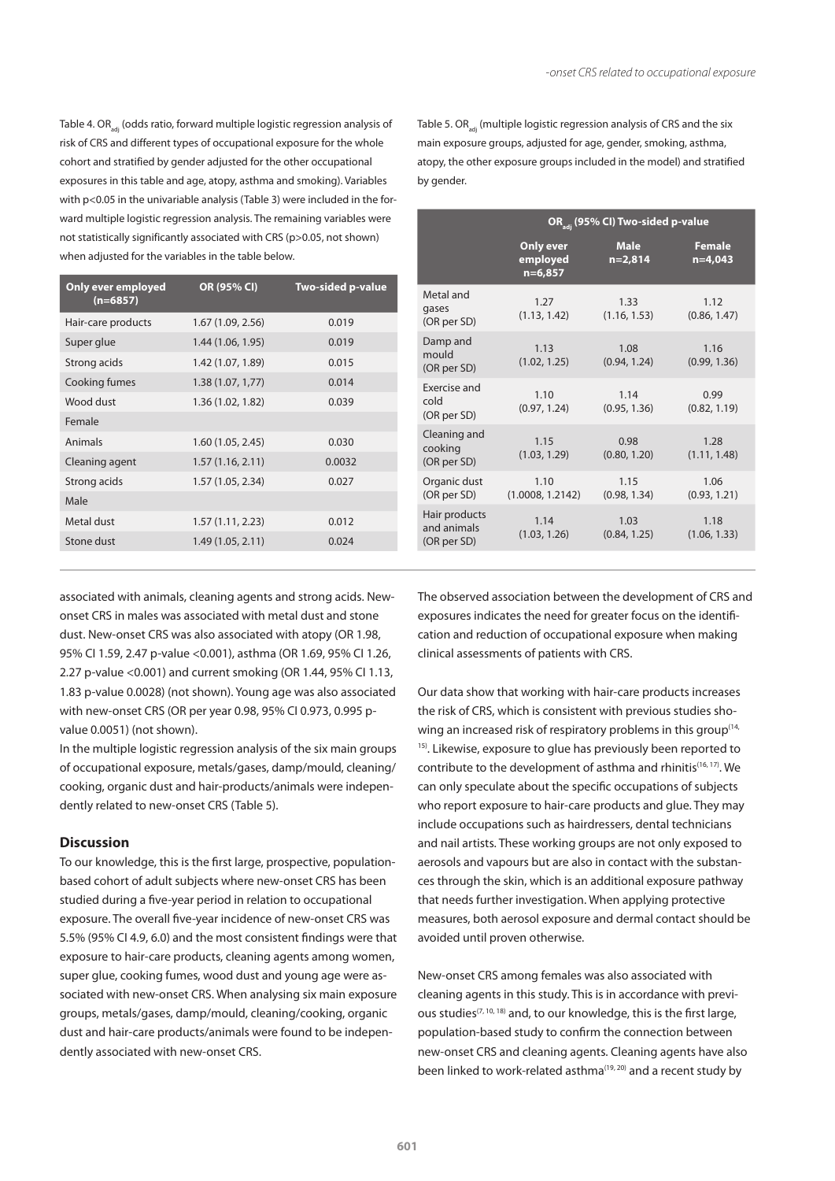Table 4. OR<sub>3di</sub> (odds ratio, forward multiple logistic regression analysis of risk of CRS and different types of occupational exposure for the whole cohort and stratified by gender adjusted for the other occupational exposures in this table and age, atopy, asthma and smoking). Variables with p<0.05 in the univariable analysis (Table 3) were included in the forward multiple logistic regression analysis. The remaining variables were not statistically significantly associated with CRS (p>0.05, not shown) when adjusted for the variables in the table below.

| Only ever employed<br>$(n=6857)$ | OR (95% CI)       | Two-sided p-value |
|----------------------------------|-------------------|-------------------|
| Hair-care products               | 1.67 (1.09, 2.56) | 0.019             |
| Super glue                       | 1.44 (1.06, 1.95) | 0.019             |
| Strong acids                     | 1.42 (1.07, 1.89) | 0.015             |
| Cooking fumes                    | 1.38(1.07, 1.77)  | 0.014             |
| Wood dust                        | 1.36 (1.02, 1.82) | 0.039             |
| Female                           |                   |                   |
| Animals                          | 1.60 (1.05, 2.45) | 0.030             |
| Cleaning agent                   | 1.57(1.16, 2.11)  | 0.0032            |
| Strong acids                     | 1.57 (1.05, 2.34) | 0.027             |
| Male                             |                   |                   |
| Metal dust                       | 1.57(1.11, 2.23)  | 0.012             |
| Stone dust                       | 1.49 (1.05, 2.11) | 0.024             |

Table 5.  $OR_{ad}$  (multiple logistic regression analysis of CRS and the six main exposure groups, adjusted for age, gender, smoking, asthma, atopy, the other exposure groups included in the model) and stratified by gender.

|                                             | OR <sub>adi</sub> (95% CI) Two-sided p-value |                          |                              |  |
|---------------------------------------------|----------------------------------------------|--------------------------|------------------------------|--|
|                                             | <b>Only ever</b><br>employed<br>$n=6,857$    | <b>Male</b><br>$n=2,814$ | <b>Female</b><br>$n = 4,043$ |  |
| Metal and<br>gases<br>(OR per SD)           | 1.27<br>(1.13, 1.42)                         | 1.33<br>(1.16, 1.53)     | 1.12<br>(0.86, 1.47)         |  |
| Damp and<br>mould<br>(OR per SD)            | 1.13<br>(1.02, 1.25)                         | 1.08<br>(0.94, 1.24)     | 1.16<br>(0.99, 1.36)         |  |
| Exercise and<br>cold<br>(OR per SD)         | 1.10<br>(0.97, 1.24)                         | 1.14<br>(0.95, 1.36)     | 0.99<br>(0.82, 1.19)         |  |
| Cleaning and<br>cooking<br>(OR per SD)      | 1.15<br>(1.03, 1.29)                         | 0.98<br>(0.80, 1.20)     | 1.28<br>(1.11, 1.48)         |  |
| Organic dust<br>(OR per SD)                 | 1.10<br>(1.0008, 1.2142)                     | 1.15<br>(0.98, 1.34)     | 1.06<br>(0.93, 1.21)         |  |
| Hair products<br>and animals<br>(OR per SD) | 1.14<br>(1.03, 1.26)                         | 1.03<br>(0.84, 1.25)     | 1.18<br>(1.06, 1.33)         |  |

associated with animals, cleaning agents and strong acids. Newonset CRS in males was associated with metal dust and stone dust. New-onset CRS was also associated with atopy (OR 1.98, 95% CI 1.59, 2.47 p-value <0.001), asthma (OR 1.69, 95% CI 1.26, 2.27 p-value <0.001) and current smoking (OR 1.44, 95% CI 1.13, 1.83 p-value 0.0028) (not shown). Young age was also associated with new-onset CRS (OR per year 0.98, 95% CI 0.973, 0.995 pvalue 0.0051) (not shown).

In the multiple logistic regression analysis of the six main groups of occupational exposure, metals/gases, damp/mould, cleaning/ cooking, organic dust and hair-products/animals were independently related to new-onset CRS (Table 5).

#### **Discussion**

To our knowledge, this is the first large, prospective, populationbased cohort of adult subjects where new-onset CRS has been studied during a five-year period in relation to occupational exposure. The overall five-year incidence of new-onset CRS was 5.5% (95% CI 4.9, 6.0) and the most consistent findings were that exposure to hair-care products, cleaning agents among women, super glue, cooking fumes, wood dust and young age were associated with new-onset CRS. When analysing six main exposure groups, metals/gases, damp/mould, cleaning/cooking, organic dust and hair-care products/animals were found to be independently associated with new-onset CRS.

The observed association between the development of CRS and exposures indicates the need for greater focus on the identification and reduction of occupational exposure when making clinical assessments of patients with CRS.

Our data show that working with hair-care products increases the risk of CRS, which is consistent with previous studies showing an increased risk of respiratory problems in this group<sup>(14,</sup> <sup>15)</sup>. Likewise, exposure to glue has previously been reported to contribute to the development of asthma and rhinitis(16, 17). We can only speculate about the specific occupations of subjects who report exposure to hair-care products and glue. They may include occupations such as hairdressers, dental technicians and nail artists. These working groups are not only exposed to aerosols and vapours but are also in contact with the substances through the skin, which is an additional exposure pathway that needs further investigation. When applying protective measures, both aerosol exposure and dermal contact should be avoided until proven otherwise.

New-onset CRS among females was also associated with cleaning agents in this study. This is in accordance with previous studies<sup> $(7, 10, 18)$ </sup> and, to our knowledge, this is the first large, population-based study to confirm the connection between new-onset CRS and cleaning agents. Cleaning agents have also been linked to work-related asthma<sup>(19, 20)</sup> and a recent study by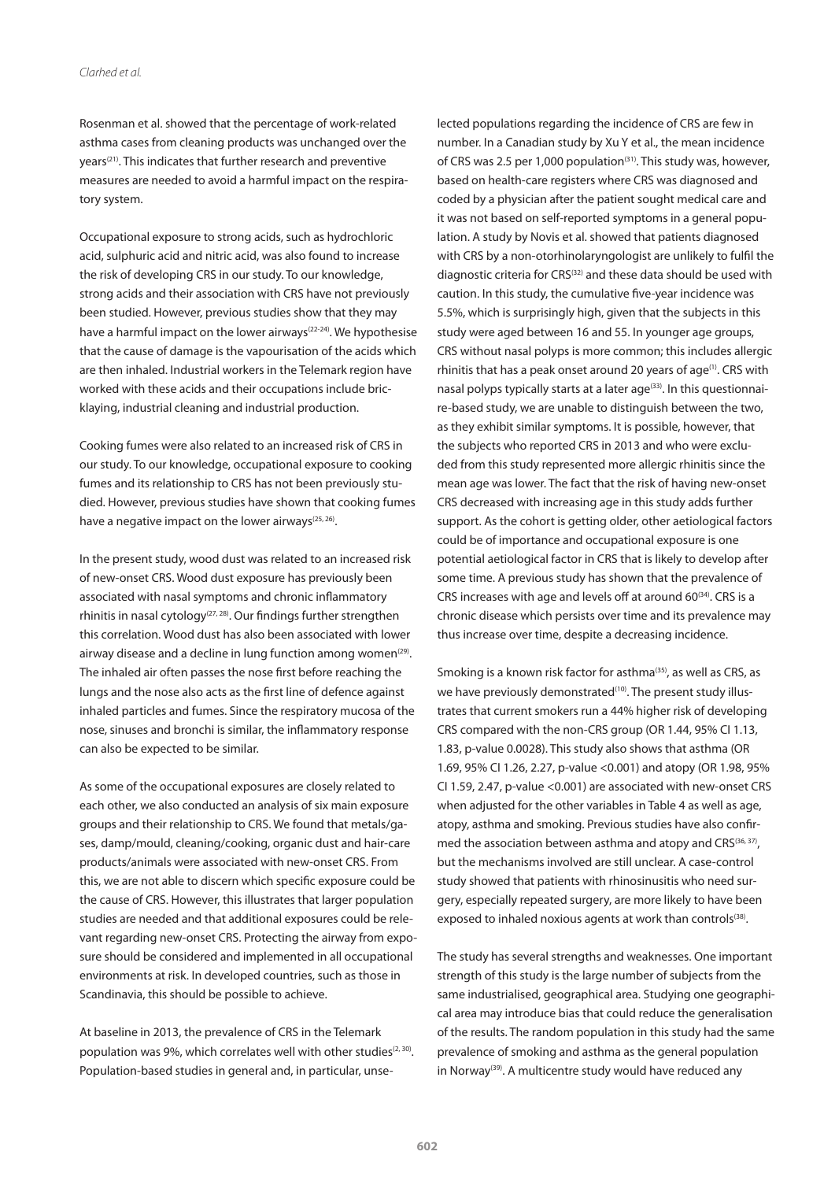Rosenman et al. showed that the percentage of work-related asthma cases from cleaning products was unchanged over the years(21). This indicates that further research and preventive measures are needed to avoid a harmful impact on the respiratory system.

Occupational exposure to strong acids, such as hydrochloric acid, sulphuric acid and nitric acid, was also found to increase the risk of developing CRS in our study. To our knowledge, strong acids and their association with CRS have not previously been studied. However, previous studies show that they may have a harmful impact on the lower airways<sup>(22-24)</sup>. We hypothesise that the cause of damage is the vapourisation of the acids which are then inhaled. Industrial workers in the Telemark region have worked with these acids and their occupations include bricklaying, industrial cleaning and industrial production.

Cooking fumes were also related to an increased risk of CRS in our study. To our knowledge, occupational exposure to cooking fumes and its relationship to CRS has not been previously studied. However, previous studies have shown that cooking fumes have a negative impact on the lower airways<sup>(25, 26)</sup>.

In the present study, wood dust was related to an increased risk of new-onset CRS. Wood dust exposure has previously been associated with nasal symptoms and chronic inflammatory rhinitis in nasal cytology<sup>(27, 28)</sup>. Our findings further strengthen this correlation. Wood dust has also been associated with lower airway disease and a decline in lung function among women $(29)$ . The inhaled air often passes the nose first before reaching the lungs and the nose also acts as the first line of defence against inhaled particles and fumes. Since the respiratory mucosa of the nose, sinuses and bronchi is similar, the inflammatory response can also be expected to be similar.

As some of the occupational exposures are closely related to each other, we also conducted an analysis of six main exposure groups and their relationship to CRS. We found that metals/gases, damp/mould, cleaning/cooking, organic dust and hair-care products/animals were associated with new-onset CRS. From this, we are not able to discern which specific exposure could be the cause of CRS. However, this illustrates that larger population studies are needed and that additional exposures could be relevant regarding new-onset CRS. Protecting the airway from exposure should be considered and implemented in all occupational environments at risk. In developed countries, such as those in Scandinavia, this should be possible to achieve.

At baseline in 2013, the prevalence of CRS in the Telemark population was 9%, which correlates well with other studies<sup> $(2, 30)$ </sup>. Population-based studies in general and, in particular, unselected populations regarding the incidence of CRS are few in number. In a Canadian study by Xu Y et al., the mean incidence of CRS was 2.5 per 1,000 population<sup>(31)</sup>. This study was, however, based on health-care registers where CRS was diagnosed and coded by a physician after the patient sought medical care and it was not based on self-reported symptoms in a general population. A study by Novis et al. showed that patients diagnosed with CRS by a non-otorhinolaryngologist are unlikely to fulfil the diagnostic criteria for CRS(32) and these data should be used with caution. In this study, the cumulative five-year incidence was 5.5%, which is surprisingly high, given that the subjects in this study were aged between 16 and 55. In younger age groups, CRS without nasal polyps is more common; this includes allergic rhinitis that has a peak onset around 20 years of age $(1)$ . CRS with nasal polyps typically starts at a later age<sup>(33)</sup>. In this questionnaire-based study, we are unable to distinguish between the two, as they exhibit similar symptoms. It is possible, however, that the subjects who reported CRS in 2013 and who were excluded from this study represented more allergic rhinitis since the mean age was lower. The fact that the risk of having new-onset CRS decreased with increasing age in this study adds further support. As the cohort is getting older, other aetiological factors could be of importance and occupational exposure is one potential aetiological factor in CRS that is likely to develop after some time. A previous study has shown that the prevalence of CRS increases with age and levels off at around 60<sup>(34)</sup>. CRS is a chronic disease which persists over time and its prevalence may thus increase over time, despite a decreasing incidence.

Smoking is a known risk factor for asthma<sup>(35)</sup>, as well as CRS, as we have previously demonstrated<sup>(10)</sup>. The present study illustrates that current smokers run a 44% higher risk of developing CRS compared with the non-CRS group (OR 1.44, 95% CI 1.13, 1.83, p-value 0.0028). This study also shows that asthma (OR 1.69, 95% CI 1.26, 2.27, p-value <0.001) and atopy (OR 1.98, 95% CI 1.59, 2.47, p-value <0.001) are associated with new-onset CRS when adjusted for the other variables in Table 4 as well as age, atopy, asthma and smoking. Previous studies have also confirmed the association between asthma and atopy and CRS<sup>(36, 37)</sup>, but the mechanisms involved are still unclear. A case-control study showed that patients with rhinosinusitis who need surgery, especially repeated surgery, are more likely to have been exposed to inhaled noxious agents at work than controls<sup>(38)</sup>.

The study has several strengths and weaknesses. One important strength of this study is the large number of subjects from the same industrialised, geographical area. Studying one geographical area may introduce bias that could reduce the generalisation of the results. The random population in this study had the same prevalence of smoking and asthma as the general population in Norway<sup>(39)</sup>. A multicentre study would have reduced any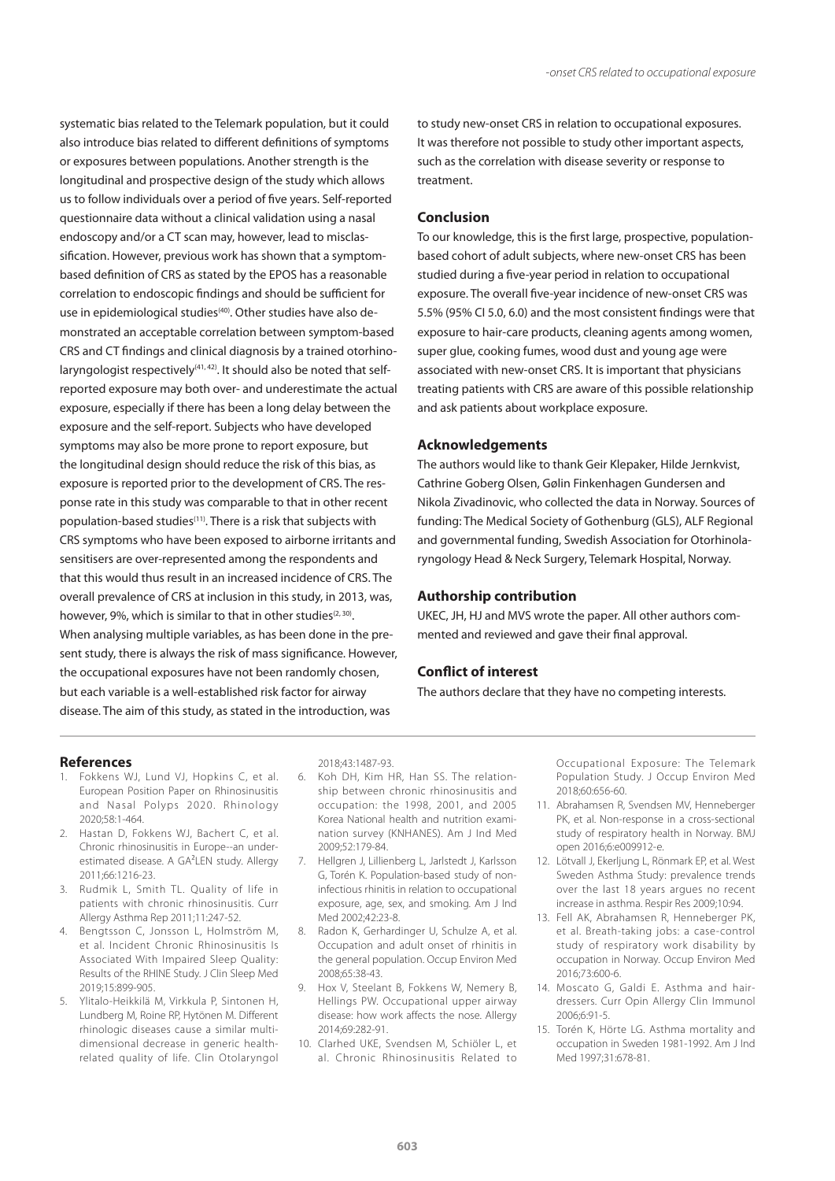systematic bias related to the Telemark population, but it could also introduce bias related to different definitions of symptoms or exposures between populations. Another strength is the longitudinal and prospective design of the study which allows us to follow individuals over a period of five years. Self-reported questionnaire data without a clinical validation using a nasal endoscopy and/or a CT scan may, however, lead to misclassification. However, previous work has shown that a symptombased definition of CRS as stated by the EPOS has a reasonable correlation to endoscopic findings and should be sufficient for use in epidemiological studies<sup>(40)</sup>. Other studies have also demonstrated an acceptable correlation between symptom-based CRS and CT findings and clinical diagnosis by a trained otorhinolaryngologist respectively<sup>(41, 42)</sup>. It should also be noted that selfreported exposure may both over- and underestimate the actual exposure, especially if there has been a long delay between the exposure and the self-report. Subjects who have developed symptoms may also be more prone to report exposure, but the longitudinal design should reduce the risk of this bias, as exposure is reported prior to the development of CRS. The response rate in this study was comparable to that in other recent population-based studies(11). There is a risk that subjects with CRS symptoms who have been exposed to airborne irritants and sensitisers are over-represented among the respondents and that this would thus result in an increased incidence of CRS. The overall prevalence of CRS at inclusion in this study, in 2013, was, however, 9%, which is similar to that in other studies<sup> $(2, 30)$ </sup>. When analysing multiple variables, as has been done in the present study, there is always the risk of mass significance. However, the occupational exposures have not been randomly chosen, but each variable is a well-established risk factor for airway disease. The aim of this study, as stated in the introduction, was

to study new-onset CRS in relation to occupational exposures. It was therefore not possible to study other important aspects, such as the correlation with disease severity or response to treatment.

## **Conclusion**

To our knowledge, this is the first large, prospective, populationbased cohort of adult subjects, where new-onset CRS has been studied during a five-year period in relation to occupational exposure. The overall five-year incidence of new-onset CRS was 5.5% (95% CI 5.0, 6.0) and the most consistent findings were that exposure to hair-care products, cleaning agents among women, super glue, cooking fumes, wood dust and young age were associated with new-onset CRS. It is important that physicians treating patients with CRS are aware of this possible relationship and ask patients about workplace exposure.

## **Acknowledgements**

The authors would like to thank Geir Klepaker, Hilde Jernkvist, Cathrine Goberg Olsen, Gølin Finkenhagen Gundersen and Nikola Zivadinovic, who collected the data in Norway. Sources of funding: The Medical Society of Gothenburg (GLS), ALF Regional and governmental funding, Swedish Association for Otorhinolaryngology Head & Neck Surgery, Telemark Hospital, Norway.

## **Authorship contribution**

UKEC, JH, HJ and MVS wrote the paper. All other authors commented and reviewed and gave their final approval.

## **Conflict of interest**

The authors declare that they have no competing interests.

### **References**

- 1. Fokkens WJ, Lund VJ, Hopkins C, et al. European Position Paper on Rhinosinusitis and Nasal Polyps 2020. Rhinology 2020;58:1-464.
- 2. Hastan D, Fokkens WJ, Bachert C, et al. Chronic rhinosinusitis in Europe--an underestimated disease. A GA<sup>2</sup>LEN study. Allergy 2011;66:1216-23.
- 3. Rudmik L, Smith TL. Quality of life in patients with chronic rhinosinusitis. Curr Allergy Asthma Rep 2011;11:247-52.
- 4. Bengtsson C, Jonsson L, Holmström M, et al. Incident Chronic Rhinosinusitis Is Associated With Impaired Sleep Quality: Results of the RHINE Study. J Clin Sleep Med 2019;15:899-905.
- 5. Ylitalo-Heikkilä M, Virkkula P, Sintonen H, Lundberg M, Roine RP, Hytönen M. Different rhinologic diseases cause a similar multidimensional decrease in generic healthrelated quality of life. Clin Otolaryngol

2018;43:1487-93.

- 6. Koh DH, Kim HR, Han SS. The relationship between chronic rhinosinusitis and occupation: the 1998, 2001, and 2005 Korea National health and nutrition examination survey (KNHANES). Am J Ind Med 2009;52:179-84.
- 7. Hellgren J, Lillienberg L, Jarlstedt J, Karlsson G, Torén K. Population-based study of noninfectious rhinitis in relation to occupational exposure, age, sex, and smoking. Am J Ind Med 2002;42:23-8.
- 8. Radon K, Gerhardinger U, Schulze A, et al. Occupation and adult onset of rhinitis in the general population. Occup Environ Med 2008;65:38-43.
- 9. Hox V, Steelant B, Fokkens W, Nemery B, Hellings PW. Occupational upper airway disease: how work affects the nose. Allergy 2014;69:282-91.
- 10. Clarhed UKE, Svendsen M, Schiöler L, et al. Chronic Rhinosinusitis Related to

Occupational Exposure: The Telemark Population Study. J Occup Environ Med 2018;60:656-60.

- 11. Abrahamsen R, Svendsen MV, Henneberger PK, et al. Non-response in a cross-sectional study of respiratory health in Norway. BMJ open 2016;6:e009912-e.
- 12. Lötvall J, Ekerljung L, Rönmark EP, et al. West Sweden Asthma Study: prevalence trends over the last 18 years argues no recent increase in asthma. Respir Res 2009;10:94.
- 13. Fell AK, Abrahamsen R, Henneberger PK, et al. Breath-taking jobs: a case-control study of respiratory work disability by occupation in Norway. Occup Environ Med 2016;73:600-6.
- 14. Moscato G, Galdi E. Asthma and hairdressers. Curr Opin Allergy Clin Immunol 2006;6:91-5.
- 15. Torén K, Hörte LG. Asthma mortality and occupation in Sweden 1981-1992. Am J Ind Med 1997;31:678-81.